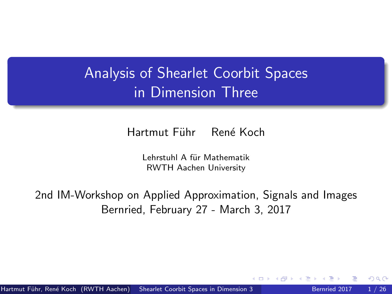# <span id="page-0-0"></span>Analysis of Shearlet Coorbit Spaces in Dimension Three

Hartmut Führ René Koch

Lehrstuhl A für Mathematik RWTH Aachen University

2nd IM-Workshop on Applied Approximation, Signals and Images Bernried, February 27 - March 3, 2017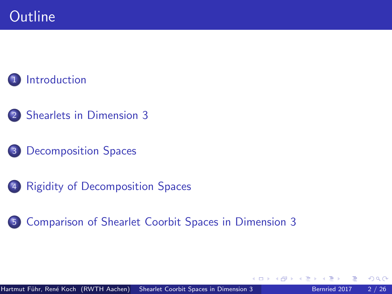## **[Introduction](#page-2-0)**

- [Shearlets in Dimension 3](#page-17-0)
- [Decomposition Spaces](#page-32-0)
- [Rigidity of Decomposition Spaces](#page-49-0)
- [Comparison of Shearlet Coorbit Spaces in Dimension 3](#page-59-0)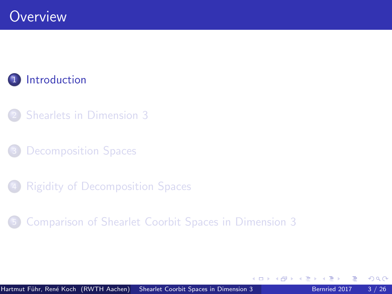### <span id="page-2-0"></span>**[Introduction](#page-2-0)**

- **[Shearlets in Dimension 3](#page-17-0)**
- [Decomposition Spaces](#page-32-0)
- **[Rigidity of Decomposition Spaces](#page-49-0)**
- 5 [Comparison of Shearlet Coorbit Spaces in Dimension 3](#page-59-0)

 $\leftarrow$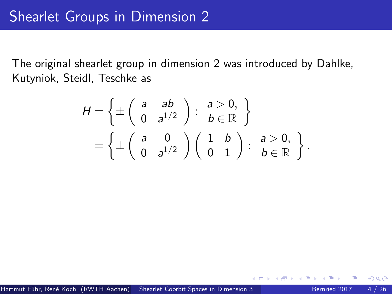The original shearlet group in dimension 2 was introduced by Dahlke, Kutyniok, Steidl, Teschke as

$$
H = \left\{ \pm \left( \begin{array}{cc} a & ab \\ 0 & a^{1/2} \end{array} \right) : \begin{array}{c} a > 0, \\ b \in \mathbb{R} \end{array} \right\}
$$
  
= 
$$
\left\{ \pm \left( \begin{array}{cc} a & 0 \\ 0 & a^{1/2} \end{array} \right) \left( \begin{array}{cc} 1 & b \\ 0 & 1 \end{array} \right) : \begin{array}{c} a > 0, \\ b \in \mathbb{R} \end{array} \right\}.
$$

 $\leftarrow$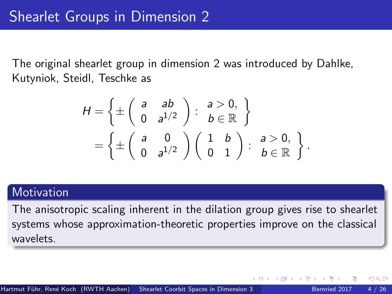The original shearlet group in dimension 2 was introduced by Dahlke, Kutyniok, Steidl, Teschke as

$$
H = \left\{ \pm \left( \begin{array}{cc} a & ab \\ 0 & a^{1/2} \end{array} \right) : \begin{array}{c} a > 0, \\ b \in \mathbb{R} \end{array} \right\}
$$
  
= 
$$
\left\{ \pm \left( \begin{array}{cc} a & 0 \\ 0 & a^{1/2} \end{array} \right) \left( \begin{array}{cc} 1 & b \\ 0 & 1 \end{array} \right) : \begin{array}{c} a > 0, \\ b \in \mathbb{R} \end{array} \right\}.
$$

#### **Motivation**

The anisotropic scaling inherent in the dilation group gives rise to shearlet systems whose approximation-theoretic properties improve on the classical wavelets.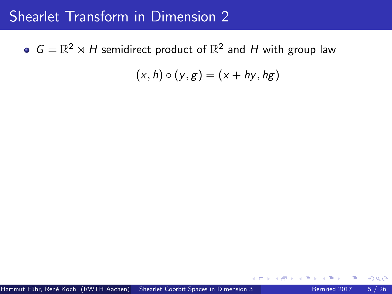$G = \mathbb{R}^2 \rtimes H$  semidirect product of  $\mathbb{R}^2$  and H with group law

 $(x, h) \circ (y, g) = (x + hy, hg)$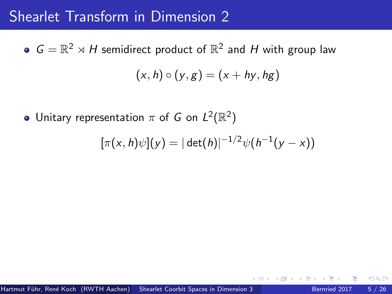$G = \mathbb{R}^2 \rtimes H$  semidirect product of  $\mathbb{R}^2$  and H with group law  $(x, h) \circ (y, g) = (x + hy, hg)$ 

Unitary representation  $\pi$  of G on  $L^2(\mathbb{R}^2)$ 

$$
[\pi(x,h)\psi](y) = |\det(h)|^{-1/2}\psi(h^{-1}(y-x))
$$

つひひ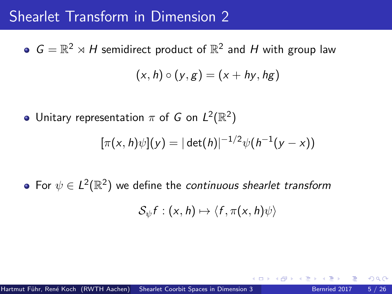$G = \mathbb{R}^2 \rtimes H$  semidirect product of  $\mathbb{R}^2$  and H with group law  $(x, h) \circ (y, g) = (x + hy, hg)$ 

Unitary representation  $\pi$  of G on  $L^2(\mathbb{R}^2)$ 

$$
[\pi(x,h)\psi](y) = |\det(h)|^{-1/2}\psi(h^{-1}(y-x))
$$

For  $\psi \in L^2(\mathbb{R}^2)$  we define the continuous shearlet transform

$$
\mathcal{S}_{\psi}f:(x,h)\mapsto \langle f,\pi(x,h)\psi\rangle
$$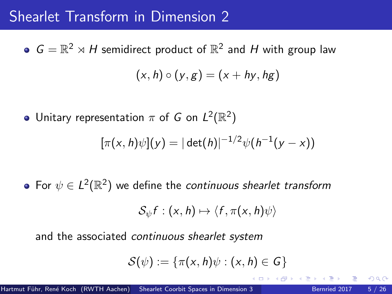$G = \mathbb{R}^2 \rtimes H$  semidirect product of  $\mathbb{R}^2$  and H with group law  $(x, h) \circ (y, g) = (x + hy, hg)$ 

Unitary representation  $\pi$  of G on  $L^2(\mathbb{R}^2)$ 

$$
[\pi(x,h)\psi](y) = |\det(h)|^{-1/2}\psi(h^{-1}(y-x))
$$

For  $\psi \in L^2(\mathbb{R}^2)$  we define the continuous shearlet transform

$$
\mathcal{S}_{\psi}f:(x,h)\mapsto \langle f,\pi(x,h)\psi\rangle
$$

and the associated continuous shearlet system

$$
\mathcal{S}(\psi):=\{\pi(x,h)\psi:(x,h)\in G\}
$$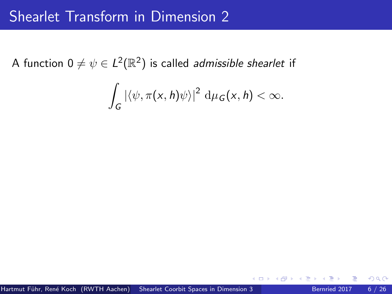A function 0  $\neq \psi \in L^2(\mathbb{R}^2)$  is called *admissible shearlet* if

$$
\int_G |\langle \psi, \pi(x,h)\psi \rangle|^2 \, d\mu_G(x,h) < \infty.
$$

4 D F

 $200$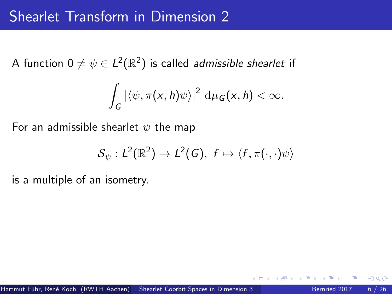A function 0  $\neq \psi \in L^2(\mathbb{R}^2)$  is called *admissible shearlet* if

$$
\int_G |\langle \psi, \pi(x,h)\psi \rangle|^2 \, d\mu_G(x,h) < \infty.
$$

For an admissible shearlet  $\psi$  the map

$$
\mathcal{S}_{\psi}: L^2(\mathbb{R}^2) \to L^2(G), \ f \mapsto \langle f, \pi(\cdot, \cdot) \psi \rangle
$$

is a multiple of an isometry.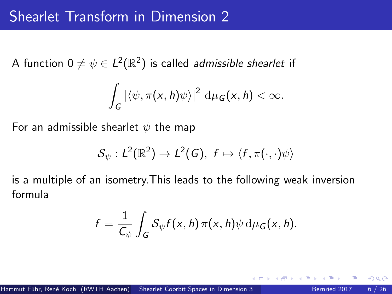A function 0  $\neq \psi \in L^2(\mathbb{R}^2)$  is called *admissible shearlet* if

$$
\int_G |\langle \psi, \pi(x,h)\psi \rangle|^2 \, d\mu_G(x,h) < \infty.
$$

For an admissible shearlet  $\psi$  the map

$$
\mathcal{S}_{\psi}: L^2(\mathbb{R}^2) \to L^2(G), \ f \mapsto \langle f, \pi(\cdot, \cdot) \psi \rangle
$$

is a multiple of an isometry.This leads to the following weak inversion formula

$$
f = \frac{1}{C_{\psi}} \int_{G} S_{\psi} f(x, h) \pi(x, h) \psi d\mu_{G}(x, h).
$$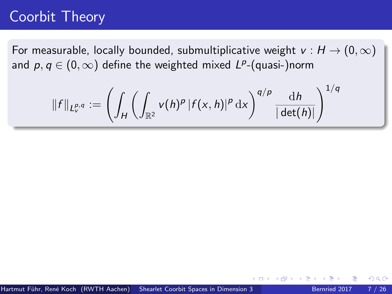For measurable, locally bounded, submultiplicative weight  $v : H \to (0, \infty)$ and  $\rho, q \in (0, \infty)$  define the weighted mixed  $L^{\rho}$ -(quasi-)norm

$$
\|f\|_{L^{p,q}_v} := \left(\int_H \left(\int_{\mathbb{R}^2} v(h)^p |f(x,h)|^p \,\mathrm{d}x\right)^{q/p} \frac{\,\mathrm{d}h}{|\det(h)|}\right)^{1/q}
$$

つひひ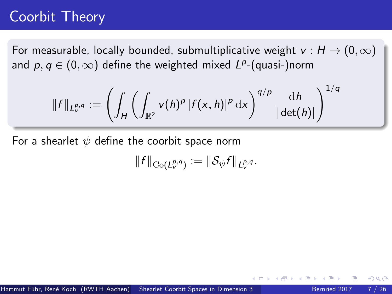For measurable, locally bounded, submultiplicative weight  $v : H \to (0, \infty)$ and  $\rho, q \in (0, \infty)$  define the weighted mixed  $L^{\rho}$ -(quasi-)norm

$$
\|f\|_{L^{p,q}_v}:=\left(\int_H\left(\int_{\mathbb{R}^2}v(h)^p\left|f(x,h)\right|^p\mathrm{d} x\right)^{q/p}\frac{\mathrm{d} h}{|\det(h)|}\right)^{1/q}
$$

For a shearlet  $\psi$  define the coorbit space norm

$$
||f||_{\mathrm{Co}(L_v^{p,q})} := ||\mathcal{S}_{\psi}f||_{L_v^{p,q}}.
$$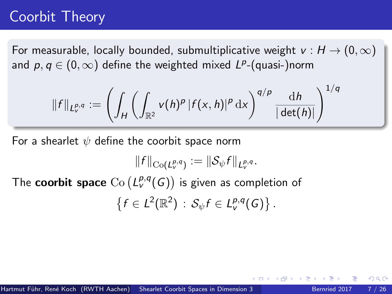For measurable, locally bounded, submultiplicative weight  $v : H \to (0, \infty)$ and  $\rho, q \in (0, \infty)$  define the weighted mixed  $L^{\rho}$ -(quasi-)norm

$$
\|f\|_{L^{p,q}_v}:=\left(\int_H\left(\int_{\mathbb{R}^2}v(h)^p\left|f(x,h)\right|^p\mathrm{d} x\right)^{q/p}\frac{\mathrm{d} h}{|\det(h)|}\right)^{1/q}
$$

For a shearlet  $\psi$  define the coorbit space norm

$$
||f||_{\text{Co}(L_v^{p,q})} := ||\mathcal{S}_{\psi}f||_{L_v^{p,q}}.
$$

The  ${\sf coorbit}$  space  ${\rm Co}\left(L_v^{p,q}(G)\right)$  is given as completion of

$$
\left\{f\in L^2(\mathbb{R}^2)\,:\,\mathcal{S}_{\psi}f\in L^{p,q}_\mathsf{v}(G)\right\}.
$$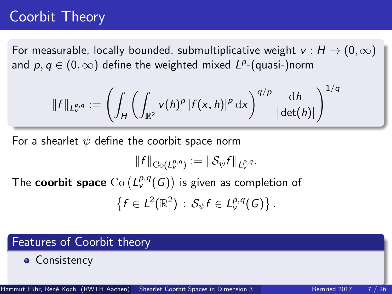For measurable, locally bounded, submultiplicative weight  $v : H \rightarrow (0, \infty)$ and  $\rho, q \in (0, \infty)$  define the weighted mixed  $L^{\rho}$ -(quasi-)norm

$$
\|f\|_{L^{p,q}_v} := \left(\int_H \left(\int_{\mathbb{R}^2} v(h)^p |f(x,h)|^p \,\mathrm{d}x\right)^{q/p} \frac{\,\mathrm{d}h}{|\det(h)|}\right)^{1/q}
$$

For a shearlet  $\psi$  define the coorbit space norm

$$
||f||_{\text{Co}(L_v^{p,q})} := ||\mathcal{S}_{\psi}f||_{L_v^{p,q}}.
$$

The  ${\sf coorbit}$  space  ${\rm Co}\left(L_v^{p,q}(G)\right)$  is given as completion of

$$
\left\{f\in L^2(\mathbb{R}^2)\,:\,\mathcal{S}_{\psi}f\in L^{p,q}_v(G)\right\}.
$$

#### Features of Coorbit theory

• Consistency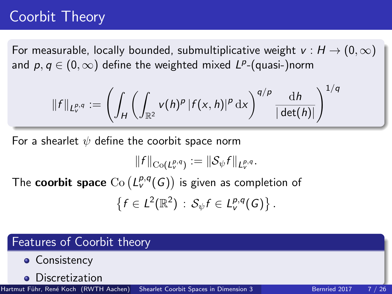For measurable, locally bounded, submultiplicative weight  $v : H \rightarrow (0, \infty)$ and  $\rho, q \in (0, \infty)$  define the weighted mixed  $L^{\rho}$ -(quasi-)norm

$$
\|f\|_{L^{p,q}_v}:=\left(\int_H\left(\int_{\mathbb{R}^2}v(h)^p\left|f(x,h)\right|^p\mathrm{d} x\right)^{q/p}\frac{\mathrm{d} h}{|\det(h)|}\right)^{1/q}
$$

For a shearlet  $\psi$  define the coorbit space norm

$$
||f||_{\text{Co}(L_v^{p,q})} := ||\mathcal{S}_{\psi}f||_{L_v^{p,q}}.
$$

The  ${\sf coorbit}$  space  ${\rm Co}\left(L_v^{p,q}(G)\right)$  is given as completion of

$$
\left\{f\in L^2(\mathbb{R}^2)\,:\,\mathcal{S}_{\psi}f\in L^{p,q}_v(G)\right\}.
$$

#### Features of Coorbit theory

- Consistency
- **•** Discretization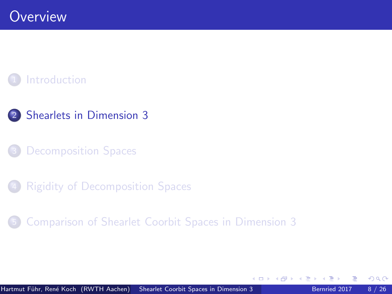#### <span id="page-17-0"></span>**[Introduction](#page-2-0)**



[Decomposition Spaces](#page-32-0)

**[Rigidity of Decomposition Spaces](#page-49-0)** 

5 [Comparison of Shearlet Coorbit Spaces in Dimension 3](#page-59-0)

 $\leftarrow$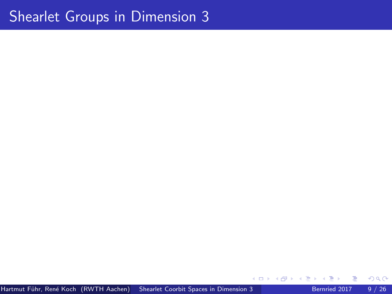## Shearlet Groups in Dimension 3

4 0 8

 $299$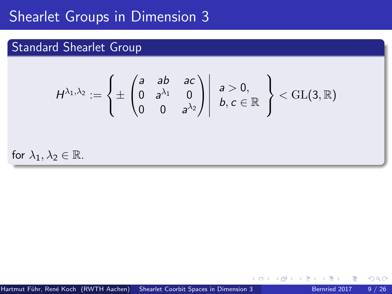## Shearlet Groups in Dimension 3

#### Standard Shearlet Group

$$
H^{\lambda_1,\lambda_2}:=\left\{\pm\begin{pmatrix} a & ab & ac \ 0 & a^{\lambda_1} & 0 \ 0 & 0 & a^{\lambda_2} \end{pmatrix} \middle| \begin{array}{c} a > 0, \\ b, c \in \mathbb{R} \end{array}\right\} < \operatorname{GL}(3,\mathbb{R})
$$

for  $\lambda_1, \lambda_2 \in \mathbb{R}$ .

 $\leftarrow$ 

 $QQ$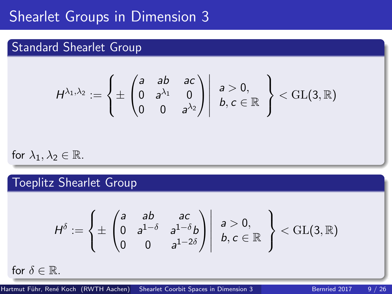## Shearlet Groups in Dimension 3

#### Standard Shearlet Group

$$
H^{\lambda_1,\lambda_2}:=\left\{\pm\begin{pmatrix} a & ab & ac \ 0 & a^{\lambda_1} & 0 \ 0 & 0 & a^{\lambda_2} \end{pmatrix} \middle| \begin{array}{c} a > 0, \\ b, c \in \mathbb{R} \end{array}\right\}<\mathrm{GL}(3,\mathbb{R})
$$

for  $\lambda_1, \lambda_2 \in \mathbb{R}$ .

Toeplitz Shearlet Group

$$
H^{\delta} := \left\{ \pm \begin{pmatrix} a & ab & ac \\ 0 & a^{1-\delta} & a^{1-\delta}b \\ 0 & 0 & a^{1-2\delta} \end{pmatrix} \middle| \begin{array}{l} a > 0, \\ b, c \in \mathbb{R} \end{array} \right\} < \text{GL}(3, \mathbb{R})
$$

for  $\delta \in \mathbb{R}$ .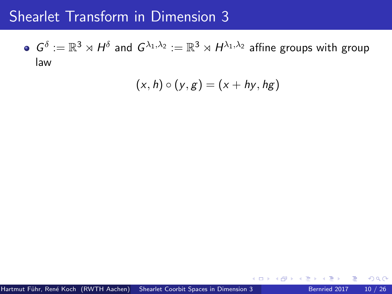$G^\delta:=\mathbb{R}^3\rtimes H^\delta$  and  $G^{\lambda_1,\lambda_2}:=\mathbb{R}^3\rtimes H^{\lambda_1,\lambda_2}$  affine groups with group law

$$
(x,h)\circ (y,g)=(x+hy,hg)
$$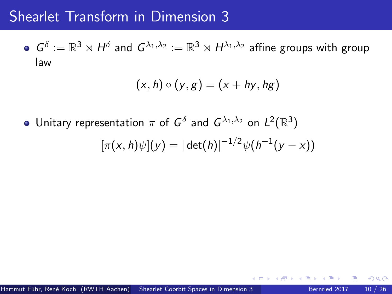$G^\delta:=\mathbb{R}^3\rtimes H^\delta$  and  $G^{\lambda_1,\lambda_2}:=\mathbb{R}^3\rtimes H^{\lambda_1,\lambda_2}$  affine groups with group law

$$
(x,h)\circ (y,g)=(x+hy,hg)
$$

Unitary representation  $\pi$  of  $G^\delta$  and  $G^{\lambda_1,\lambda_2}$  on  $L^2(\mathbb{R}^3)$ 

$$
[\pi(x,h)\psi](y) = |\det(h)|^{-1/2}\psi(h^{-1}(y-x))
$$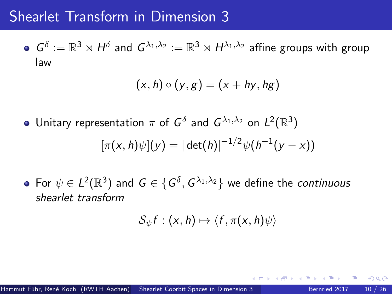$G^\delta:=\mathbb{R}^3\rtimes H^\delta$  and  $G^{\lambda_1,\lambda_2}:=\mathbb{R}^3\rtimes H^{\lambda_1,\lambda_2}$  affine groups with group law

$$
(x,h)\circ (y,g)=(x+hy,hg)
$$

Unitary representation  $\pi$  of  $G^\delta$  and  $G^{\lambda_1,\lambda_2}$  on  $L^2(\mathbb{R}^3)$ 

$$
[\pi(x,h)\psi](y) = |\det(h)|^{-1/2}\psi(h^{-1}(y-x))
$$

For  $\psi \in L^2(\mathbb{R}^3)$  and  $G \in \{G^\delta, G^{\lambda_1, \lambda_2}\}$  we define the continuous shearlet transform

$$
\mathcal{S}_{\psi}f:(x,h)\mapsto \langle f,\pi(x,h)\psi\rangle
$$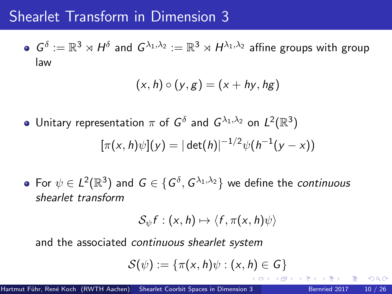$G^\delta:=\mathbb{R}^3\rtimes H^\delta$  and  $G^{\lambda_1,\lambda_2}:=\mathbb{R}^3\rtimes H^{\lambda_1,\lambda_2}$  affine groups with group law

$$
(x,h)\circ (y,g)=(x+hy,hg)
$$

Unitary representation  $\pi$  of  $G^\delta$  and  $G^{\lambda_1,\lambda_2}$  on  $L^2(\mathbb{R}^3)$ 

$$
[\pi(x,h)\psi](y) = |\det(h)|^{-1/2}\psi(h^{-1}(y-x))
$$

For  $\psi \in L^2(\mathbb{R}^3)$  and  $G \in \{G^\delta, G^{\lambda_1, \lambda_2}\}$  we define the continuous shearlet transform

$$
\mathcal{S}_{\psi}f:(x,h)\mapsto \langle f,\pi(x,h)\psi\rangle
$$

and the associated continuous shearlet system

$$
\mathcal{S}(\psi):=\{\pi(x,h)\psi:(x,h)\in\mathsf{G}\}
$$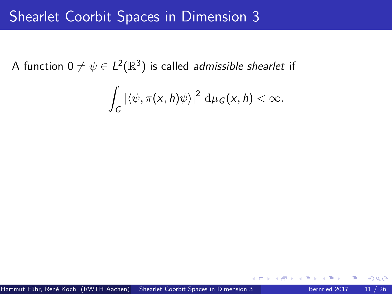## Shearlet Coorbit Spaces in Dimension 3

A function 0  $\neq \psi \in L^2(\mathbb{R}^3)$  is called *admissible shearlet* if

$$
\int_G |\langle \psi, \pi(x, h)\psi \rangle|^2 \, d\mu_G(x, h) < \infty.
$$

 $290$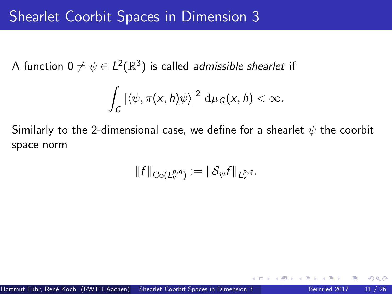A function 0  $\neq \psi \in L^2(\mathbb{R}^3)$  is called *admissible shearlet* if

$$
\int_G |\langle \psi, \pi(x, h)\psi \rangle|^2 \, d\mu_G(x, h) < \infty.
$$

Similarly to the 2-dimensional case, we define for a shearlet  $\psi$  the coorbit space norm

$$
||f||_{\mathrm{Co}(L_v^{p,q})} := ||\mathcal{S}_{\psi}f||_{L_v^{p,q}}.
$$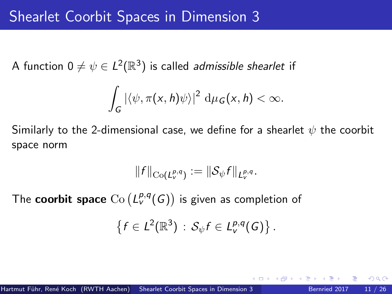A function 0  $\neq \psi \in L^2(\mathbb{R}^3)$  is called *admissible shearlet* if

$$
\int_G |\langle \psi, \pi(x,h)\psi \rangle|^2 \, d\mu_G(x,h) < \infty.
$$

Similarly to the 2-dimensional case, we define for a shearlet  $\psi$  the coorbit space norm

$$
||f||_{\mathrm{Co}(L_v^{p,q})} := ||\mathcal{S}_{\psi}f||_{L_v^{p,q}}.
$$

The  ${\sf coorbit}$  space  ${\rm Co}\left(L_v^{p,q}(G)\right)$  is given as completion of

$$
\left\{f\in L^2(\mathbb{R}^3)\,:\,\mathcal{S}_{\psi}f\in L^{p,q}_\mathsf{v}(G)\right\}.
$$

つひひ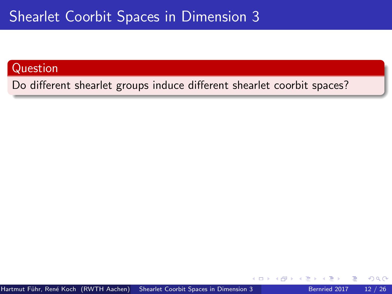## Shearlet Coorbit Spaces in Dimension 3

#### Question

Do different shearlet groups induce different shearlet coorbit spaces?

 $\leftarrow$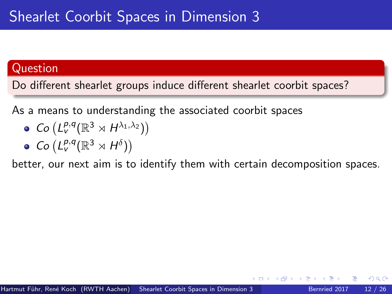#### Question

Do different shearlet groups induce different shearlet coorbit spaces?

As a means to understanding the associated coorbit spaces

- $Co(L_v^{p,q}(\mathbb{R}^3 \rtimes H^{\lambda_1,\lambda_2}))$
- $Co(L_v^{p,q}(\mathbb{R}^3 \rtimes H^\delta))$

better, our next aim is to identify them with certain decomposition spaces.

つひひ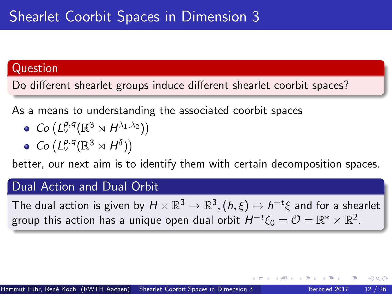#### Question

Do different shearlet groups induce different shearlet coorbit spaces?

As a means to understanding the associated coorbit spaces

- $Co(L_v^{p,q}(\mathbb{R}^3 \rtimes H^{\lambda_1,\lambda_2}))$
- $Co(L_v^{p,q}(\mathbb{R}^3 \rtimes H^\delta))$

better, our next aim is to identify them with certain decomposition spaces.

#### Dual Action and Dual Orbit

The dual action is given by  $H \times \mathbb{R}^3 \to \mathbb{R}^3, (h,\xi) \mapsto h^{-t}\xi$  and for a shearlet group this action has a unique open dual orbit  $H^{-t}\xi_0 = \mathcal{O} = \mathbb{R}^* \times \mathbb{R}^2.$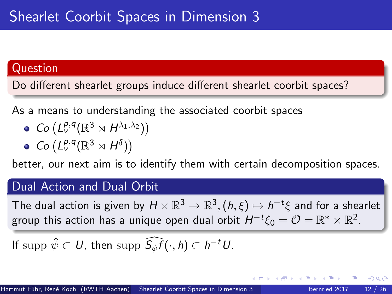#### Question

Do different shearlet groups induce different shearlet coorbit spaces?

As a means to understanding the associated coorbit spaces

- $Co(L_v^{p,q}(\mathbb{R}^3 \rtimes H^{\lambda_1,\lambda_2}))$
- $Co(L_v^{p,q}(\mathbb{R}^3 \rtimes H^\delta))$

better, our next aim is to identify them with certain decomposition spaces.

#### Dual Action and Dual Orbit

The dual action is given by  $H \times \mathbb{R}^3 \to \mathbb{R}^3, (h,\xi) \mapsto h^{-t}\xi$  and for a shearlet group this action has a unique open dual orbit  $H^{-t}\xi_0 = \mathcal{O} = \mathbb{R}^* \times \mathbb{R}^2.$ 

If  $\mathrm{supp} \ \hat{\psi} \subset U$ , then  $\mathrm{supp} \ \widehat{S_{\psi}f}(\cdot,h) \subset h^{-t}U$ .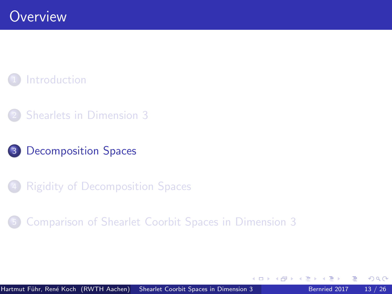### <span id="page-32-0"></span>**[Introduction](#page-2-0)**

- **[Shearlets in Dimension 3](#page-17-0)**
- 3 [Decomposition Spaces](#page-32-0)
- **[Rigidity of Decomposition Spaces](#page-49-0)**
- 5 [Comparison of Shearlet Coorbit Spaces in Dimension 3](#page-59-0)

 $\leftarrow$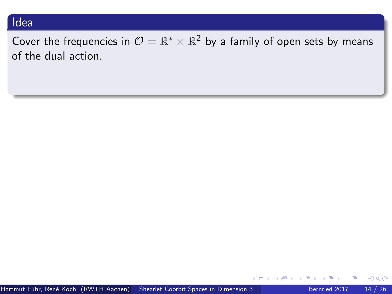#### Idea

Cover the frequencies in  $\mathcal{O}=\mathbb{R}^*\times\mathbb{R}^2$  by a family of open sets by means of the dual action.

 $299$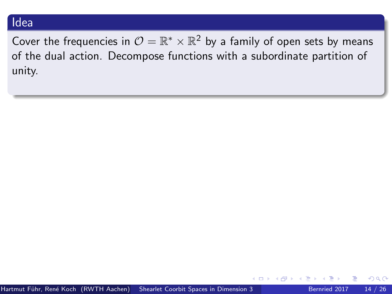#### Idea

Cover the frequencies in  $\mathcal{O}=\mathbb{R}^*\times\mathbb{R}^2$  by a family of open sets by means of the dual action. Decompose functions with a subordinate partition of unity.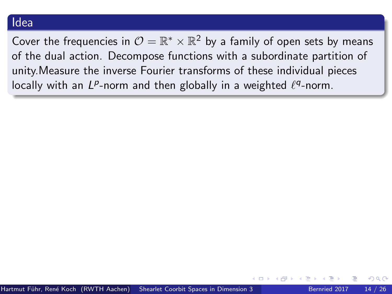#### Idea

Cover the frequencies in  $\mathcal{O}=\mathbb{R}^*\times\mathbb{R}^2$  by a family of open sets by means of the dual action. Decompose functions with a subordinate partition of unity.Measure the inverse Fourier transforms of these individual pieces locally with an  $L^p$ -norm and then globally in a weighted  $\ell^q$ -norm.

つひひ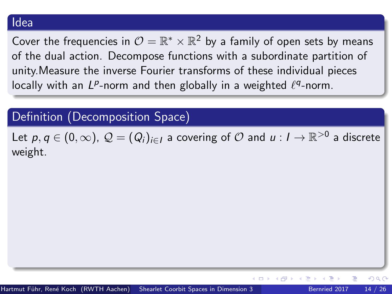Cover the frequencies in  $\mathcal{O}=\mathbb{R}^*\times\mathbb{R}^2$  by a family of open sets by means of the dual action. Decompose functions with a subordinate partition of unity.Measure the inverse Fourier transforms of these individual pieces locally with an  $L^p$ -norm and then globally in a weighted  $\ell^q$ -norm.

# Definition (Decomposition Space)

Let  $\rho,q\in(0,\infty)$ ,  $\mathcal{Q}=(Q_i)_{i\in I}$  a covering of  $\mathcal O$  and  $u:I\to\mathbb R^{>0}$  a discrete weight.

 $200$ 

4. 0. 8.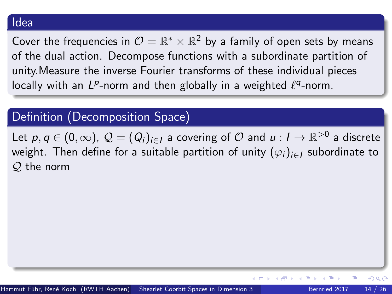Cover the frequencies in  $\mathcal{O}=\mathbb{R}^*\times\mathbb{R}^2$  by a family of open sets by means of the dual action. Decompose functions with a subordinate partition of unity.Measure the inverse Fourier transforms of these individual pieces locally with an  $L^p$ -norm and then globally in a weighted  $\ell^q$ -norm.

# Definition (Decomposition Space)

Let  $\rho,q\in(0,\infty)$ ,  $\mathcal{Q}=(Q_i)_{i\in I}$  a covering of  $\mathcal O$  and  $u:I\to\mathbb R^{>0}$  a discrete weight. Then define for a suitable partition of unity  $(\varphi_i)_{i\in I}$  subordinate to Q the norm

 $200$ 

(□) (母)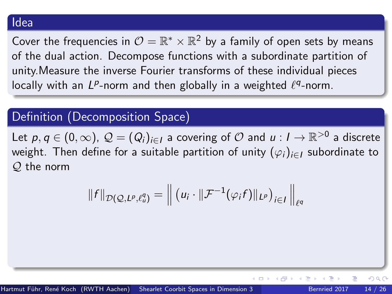Cover the frequencies in  $\mathcal{O}=\mathbb{R}^*\times\mathbb{R}^2$  by a family of open sets by means of the dual action. Decompose functions with a subordinate partition of unity.Measure the inverse Fourier transforms of these individual pieces locally with an  $L^p$ -norm and then globally in a weighted  $\ell^q$ -norm.

# Definition (Decomposition Space)

Let  $\rho,q\in(0,\infty)$ ,  $\mathcal{Q}=(Q_i)_{i\in I}$  a covering of  $\mathcal O$  and  $u:I\to\mathbb R^{>0}$  a discrete weight. Then define for a suitable partition of unity  $(\varphi_i)_{i\in I}$  subordinate to Q the norm

$$
||f||_{\mathcal{D}(\mathcal{Q},L^p,\ell^q_\omega)} = \left\| \left( u_i \cdot ||\mathcal{F}^{-1}(\varphi_i f)||_{L^p} \right)_{i \in I} \right\|_{\ell^q}
$$

 $200$ 

**←ロト ←何ト ←ヨト**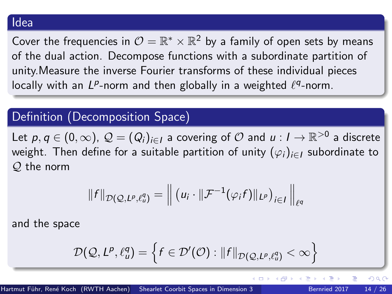Cover the frequencies in  $\mathcal{O}=\mathbb{R}^*\times\mathbb{R}^2$  by a family of open sets by means of the dual action. Decompose functions with a subordinate partition of unity.Measure the inverse Fourier transforms of these individual pieces locally with an  $L^p$ -norm and then globally in a weighted  $\ell^q$ -norm.

# Definition (Decomposition Space)

Let  $\rho,q\in(0,\infty)$ ,  $\mathcal{Q}=(Q_i)_{i\in I}$  a covering of  $\mathcal O$  and  $u:I\to\mathbb R^{>0}$  a discrete weight. Then define for a suitable partition of unity  $(\varphi_i)_{i\in I}$  subordinate to Q the norm

$$
||f||_{\mathcal{D}(\mathcal{Q},L^p,\ell^q_\omega)} = \left\| \left( u_i \cdot ||\mathcal{F}^{-1}(\varphi_i f)||_{L^p} \right)_{i \in I} \right\|_{\ell^q}
$$

and the space

$$
\mathcal{D}(\mathcal{Q}, L^{\rho}, \ell^q_{\omega}) = \left\{ f \in \mathcal{D}'(\mathcal{O}) : ||f||_{\mathcal{D}(\mathcal{Q}, L^{\rho}, \ell^q_{\omega})} < \infty \right\}
$$

 $200$ 

**≮ロト ⊀伺ト ⊀∃ト**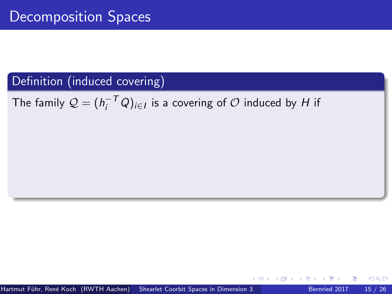The family  $\mathcal{Q} = (h_i^{-T}Q)_{i \in I}$  is a covering of  $\mathcal O$  induced by  $H$  if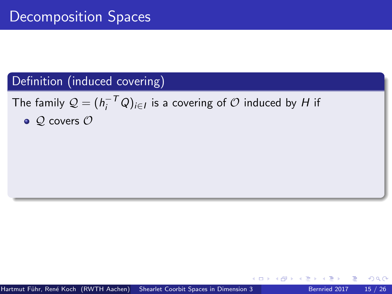The family  $\mathcal{Q} = (h_i^{-T}Q)_{i \in I}$  is a covering of  $\mathcal O$  induced by  $H$  if

 $\bullet$  Q covers  $\mathcal O$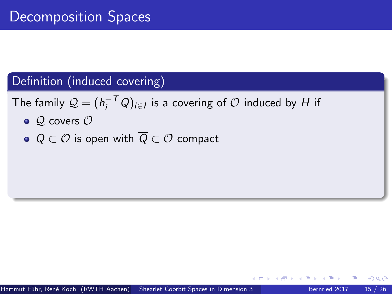The family  $\mathcal{Q} = (h_i^{-T}Q)_{i \in I}$  is a covering of  $\mathcal O$  induced by  $H$  if

- $\bullet$  Q covers  $\mathcal O$
- $\bullet$  Q  $\subset$  O is open with  $\overline{Q} \subset \mathcal{O}$  compact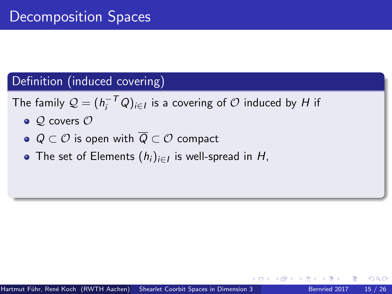The family  $\mathcal{Q} = (h_i^{-T}Q)_{i \in I}$  is a covering of  $\mathcal O$  induced by  $H$  if

- $\bullet$  Q covers  $\mathcal O$
- $\bullet$  Q  $\subset$   $\mathcal{O}$  is open with  $\overline{Q} \subset \mathcal{O}$  compact
- The set of Elements  $(h_i)_{i\in I}$  is well-spread in  $H$ ,

つひひ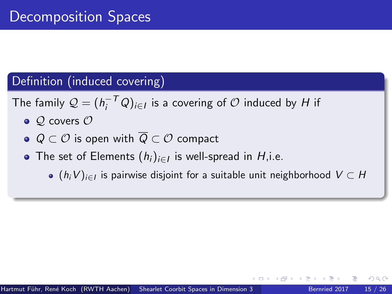The family  $\mathcal{Q} = (h_i^{-T}Q)_{i \in I}$  is a covering of  $\mathcal O$  induced by  $H$  if

- $\bullet$  Q covers  $\mathcal O$
- $\bullet$  Q  $\subset$   $\mathcal{O}$  is open with  $\overline{Q} \subset \mathcal{O}$  compact
- The set of Elements  $(h_i)_{i\in I}$  is well-spread in  $H$ ,i.e.
	- $(h_iV)_{i\in I}$  is pairwise disjoint for a suitable unit neighborhood  $V\subset H$

つひひ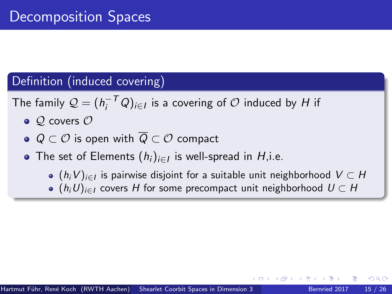The family  $\mathcal{Q} = (h_i^{-T}Q)_{i \in I}$  is a covering of  $\mathcal O$  induced by  $H$  if

- $\bullet$  Q covers  $\mathcal O$
- $\bullet$  Q  $\subset$   $\mathcal{O}$  is open with  $\overline{Q} \subset \mathcal{O}$  compact
- The set of Elements  $(h_i)_{i\in I}$  is well-spread in  $H$ ,i.e.
	- $(h_iV)_{i\in I}$  is pairwise disjoint for a suitable unit neighborhood  $V\subset H$
	- $(h_iU)_{i\in I}$  covers H for some precompact unit neighborhood  $U \subset H$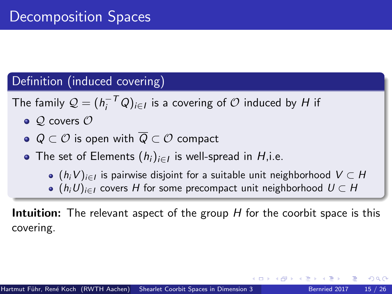The family  $\mathcal{Q} = (h_i^{-T}Q)_{i \in I}$  is a covering of  $\mathcal O$  induced by  $H$  if

- $\bullet$  Q covers  $\mathcal O$
- $\bullet$  Q  $\subset$   $\mathcal{O}$  is open with  $\overline{Q} \subset \mathcal{O}$  compact
- The set of Elements  $(h_i)_{i\in I}$  is well-spread in  $H$ ,i.e.
	- $(h_iV)_{i\in I}$  is pairwise disjoint for a suitable unit neighborhood  $V\subset H$
	- $(h_iU)_{i\in I}$  covers H for some precompact unit neighborhood  $U \subset H$

**Intuition:** The relevant aspect of the group  $H$  for the coorbit space is this covering.

つひひ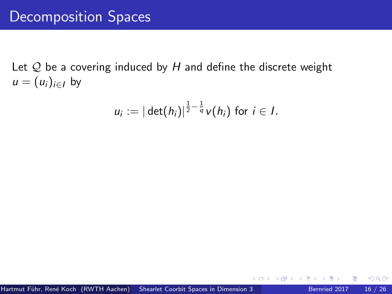Let  $Q$  be a covering induced by  $H$  and define the discrete weight  $u = (u_i)_{i \in I}$  by

$$
u_i := |\det(h_i)|^{\frac{1}{2}-\frac{1}{q}}v(h_i) \text{ for } i \in I.
$$

**∢ ⊡**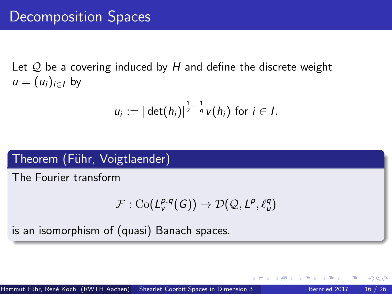Let  $Q$  be a covering induced by H and define the discrete weight  $u = (u_i)_{i \in I}$  by

$$
u_i := |\det(h_i)|^{\frac{1}{2} - \frac{1}{q}} v(h_i) \text{ for } i \in I.
$$

## Theorem (Führ, Voigtlaender)

The Fourier transform

$$
\mathcal{F}: {\rm Co}(L^{p,q}_v(G)) \to \mathcal{D}(\mathcal{Q}, L^p, \ell^q_u)
$$

is an isomorphism of (quasi) Banach spaces.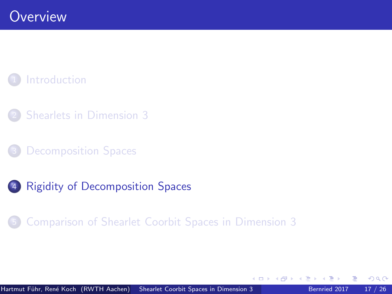# <span id="page-49-0"></span>**[Introduction](#page-2-0)**

- **[Shearlets in Dimension 3](#page-17-0)**
- [Decomposition Spaces](#page-32-0)
- 4 [Rigidity of Decomposition Spaces](#page-49-0)
	- 5 [Comparison of Shearlet Coorbit Spaces in Dimension 3](#page-59-0)

 $\leftarrow$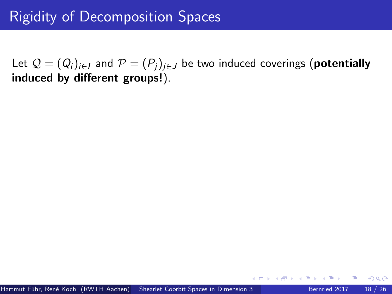Let  $\mathcal{Q} = (Q_i)_{i \in I}$  and  $\mathcal{P} = (P_i)_{i \in J}$  be two induced coverings (**potentially** induced by different groups!).

つひひ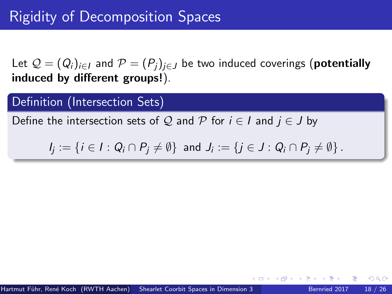Let  $\mathcal{Q} = (Q_i)_{i \in I}$  and  $\mathcal{P} = (P_i)_{i \in J}$  be two induced coverings (**potentially** induced by different groups!).

#### Definition (Intersection Sets)

Define the intersection sets of Q and P for  $i \in I$  and  $j \in J$  by

$$
I_j := \{i \in I : Q_i \cap P_j \neq \emptyset\} \text{ and } J_i := \{j \in J : Q_i \cap P_j \neq \emptyset\}.
$$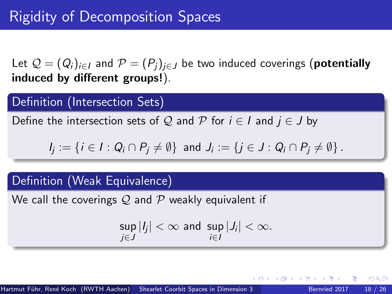Let  $\mathcal{Q} = (Q_i)_{i \in I}$  and  $\mathcal{P} = (P_i)_{i \in J}$  be two induced coverings (**potentially** induced by different groups!).

### Definition (Intersection Sets)

Define the intersection sets of Q and P for  $i \in I$  and  $j \in J$  by

 $I_j:=\{i\in I: Q_i\cap P_j\neq\emptyset\}$  and  $J_i:=\{j\in J: Q_i\cap P_j\neq\emptyset\}$ .

### Definition (Weak Equivalence)

We call the coverings  $Q$  and  $P$  weakly equivalent if

$$
\sup_{j\in J}|I_j|<\infty \text{ and } \sup_{i\in I}|J_i|<\infty.
$$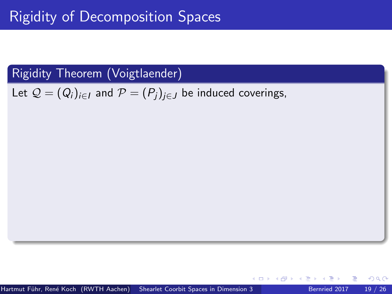Let  $\mathcal{Q} = (Q_i)_{i \in I}$  and  $\mathcal{P} = (P_i)_{i \in J}$  be induced coverings,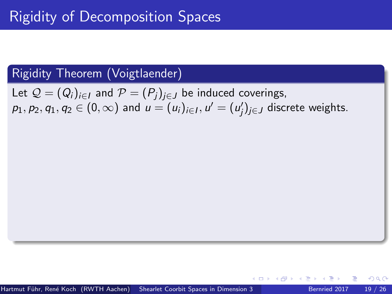Let  $\mathcal{Q} = (Q_i)_{i \in I}$  and  $\mathcal{P} = (P_i)_{i \in J}$  be induced coverings,  $p_1,p_2,q_1,q_2\in(0,\infty)$  and  $u=(u_i)_{i\in I},$   $u'=(u'_j)_{j\in J}$  discrete weights.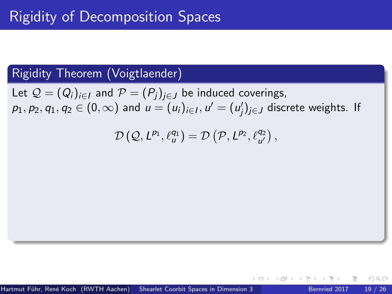Let  $\mathcal{Q} = (Q_i)_{i \in I}$  and  $\mathcal{P} = (P_i)_{i \in J}$  be induced coverings,  $p_1,p_2,q_1,q_2\in(0,\infty)$  and  $u=(u_i)_{i\in I},$   $u'=(u'_j)_{j\in J}$  discrete weights. If

$$
\mathcal{D}\left(\mathcal{Q},L^{p_1},\ell^{q_1}_u\right)=\mathcal{D}\left(\mathcal{P},L^{p_2},\ell^{q_2}_{u'}\right),
$$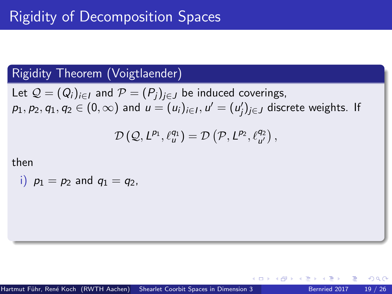Let  $\mathcal{Q} = (Q_i)_{i \in I}$  and  $\mathcal{P} = (P_i)_{i \in J}$  be induced coverings,  $p_1,p_2,q_1,q_2\in(0,\infty)$  and  $u=(u_i)_{i\in I},$   $u'=(u'_j)_{j\in J}$  discrete weights. If

$$
\mathcal{D}\left(\mathcal{Q},L^{p_1},\ell^{q_1}_u\right)=\mathcal{D}\left(\mathcal{P},L^{p_2},\ell^{q_2}_{u'}\right),
$$

then

i)  $p_1 = p_2$  and  $q_1 = q_2$ ,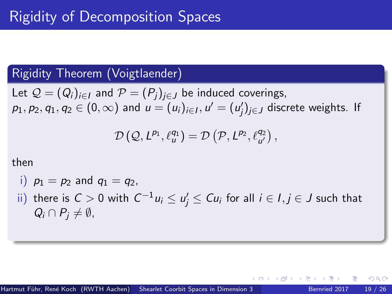Let  $\mathcal{Q} = (Q_i)_{i \in I}$  and  $\mathcal{P} = (P_i)_{i \in J}$  be induced coverings,  $p_1,p_2,q_1,q_2\in(0,\infty)$  and  $u=(u_i)_{i\in I},$   $u'=(u'_j)_{j\in J}$  discrete weights. If

$$
\mathcal{D}\left(\mathcal{Q},L^{p_1},\ell^{q_1}_u\right)=\mathcal{D}\left(\mathcal{P},L^{p_2},\ell^{q_2}_{u'}\right),
$$

then

\n- i) 
$$
p_1 = p_2
$$
 and  $q_1 = q_2$ ,
\n- ii) there is  $C > 0$  with  $C^{-1}u_i \le u'_j \le Cu_i$  for all  $i \in I, j \in J$  such that  $Q_i \cap P_j \neq \emptyset$ ,
\n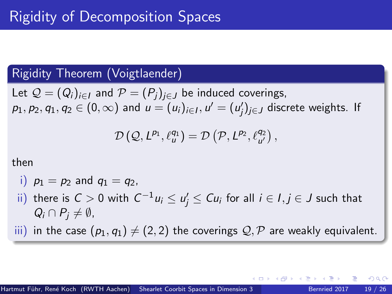Let  $\mathcal{Q} = (Q_i)_{i \in I}$  and  $\mathcal{P} = (P_i)_{i \in J}$  be induced coverings,  $p_1,p_2,q_1,q_2\in(0,\infty)$  and  $u=(u_i)_{i\in I},$   $u'=(u'_j)_{j\in J}$  discrete weights. If

$$
\mathcal{D}\left(\mathcal{Q},L^{p_1},\ell^{q_1}_u\right)=\mathcal{D}\left(\mathcal{P},L^{p_2},\ell^{q_2}_{u'}\right),
$$

then

i) 
$$
p_1 = p_2
$$
 and  $q_1 = q_2$ ,

 $\tilde{\mu}$  there is  $C>0$  with  $C^{-1}u_i\leq u'_j\leq Cu_i$  for all  $i\in I, j\in J$  such that  $Q_i \cap P_i \neq \emptyset$ ,

iii) in the case  $(p_1, q_1) \neq (2, 2)$  the coverings  $\mathcal{Q}, \mathcal{P}$  are weakly equivalent.

つへへ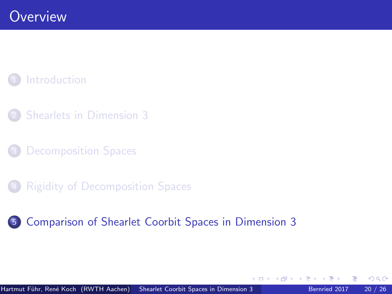# <span id="page-59-0"></span>**[Introduction](#page-2-0)**

- **[Shearlets in Dimension 3](#page-17-0)**
- [Decomposition Spaces](#page-32-0)
- **[Rigidity of Decomposition Spaces](#page-49-0)**

## 5 [Comparison of Shearlet Coorbit Spaces in Dimension 3](#page-59-0)

 $\leftarrow$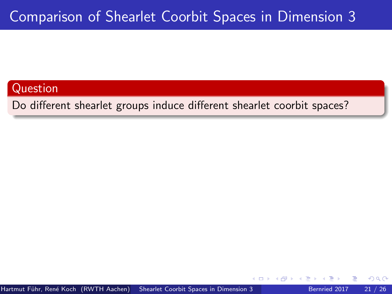Do different shearlet groups induce different shearlet coorbit spaces?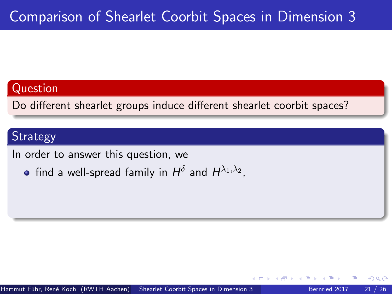Do different shearlet groups induce different shearlet coorbit spaces?

## **Strategy**

In order to answer this question, we

find a well-spread family in  $H^\delta$  and  $H^{\lambda_1,\lambda_2}$ ,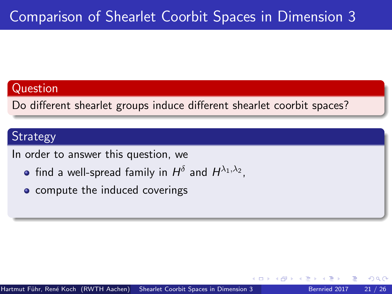Do different shearlet groups induce different shearlet coorbit spaces?

## **Strategy**

In order to answer this question, we

- find a well-spread family in  $H^\delta$  and  $H^{\lambda_1,\lambda_2}$ ,
- compute the induced coverings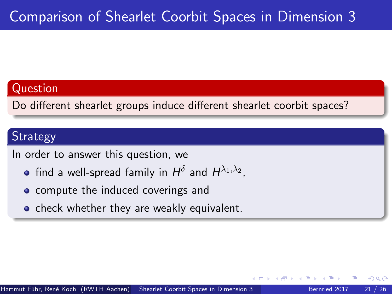Do different shearlet groups induce different shearlet coorbit spaces?

## **Strategy**

In order to answer this question, we

- find a well-spread family in  $H^\delta$  and  $H^{\lambda_1,\lambda_2}$ ,
- compute the induced coverings and
- **o** check whether they are weakly equivalent.

つひひ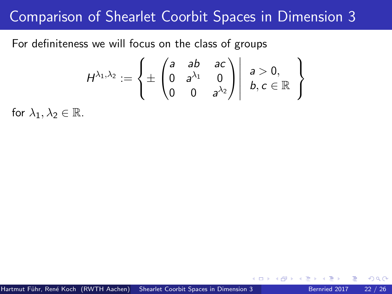For definiteness we will focus on the class of groups

$$
H^{\lambda_1,\lambda_2}:=\left\{\pm\begin{pmatrix}a & ab & ac\\0 & a^{\lambda_1} & 0\\0 & 0 & a^{\lambda_2}\end{pmatrix}\middle|\begin{array}{c}a>0,\\b,c\in\mathbb{R}\end{array}\right\}
$$

for  $\lambda_1, \lambda_2 \in \mathbb{R}$ .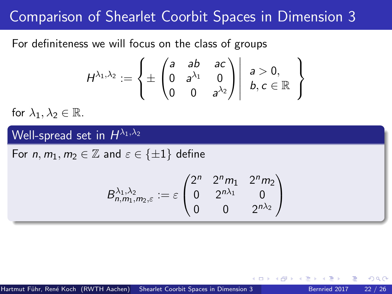For definiteness we will focus on the class of groups

$$
H^{\lambda_1,\lambda_2}:=\left\{\pm\begin{pmatrix}a & ab & ac\\0 & a^{\lambda_1} & 0\\0 & 0 & a^{\lambda_2}\end{pmatrix}\middle|\begin{array}{c}a>0,\\b,c\in\mathbb{R}\end{array}\right\}
$$

for  $\lambda_1, \lambda_2 \in \mathbb{R}$ .

# Well-spread set in  $H^{\lambda_1,\lambda_2}$

For  $n, m_1, m_2 \in \mathbb{Z}$  and  $\varepsilon \in \{\pm 1\}$  define

$$
B_{n,m_1,m_2,\varepsilon}^{\lambda_1,\lambda_2} := \varepsilon \begin{pmatrix} 2^n & 2^n m_1 & 2^n m_2 \\ 0 & 2^{n\lambda_1} & 0 \\ 0 & 0 & 2^{n\lambda_2} \end{pmatrix}.
$$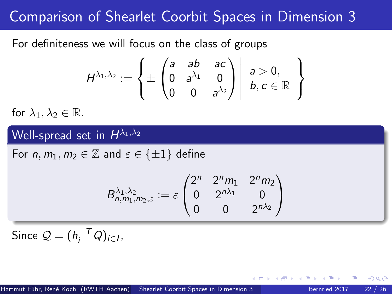For definiteness we will focus on the class of groups

$$
H^{\lambda_1,\lambda_2}:=\left\{\pm\begin{pmatrix}a & ab & ac\\0 & a^{\lambda_1} & 0\\0 & 0 & a^{\lambda_2}\end{pmatrix}\middle|\begin{array}{c}a>0,\\b,c\in\mathbb{R}\end{array}\right\}
$$

for  $\lambda_1, \lambda_2 \in \mathbb{R}$ .

# Well-spread set in  $H^{\lambda_1,\lambda_2}$

For  $n, m_1, m_2 \in \mathbb{Z}$  and  $\varepsilon \in \{\pm 1\}$  define

$$
B_{n,m_1,m_2,\varepsilon}^{\lambda_1,\lambda_2} := \varepsilon \begin{pmatrix} 2^n & 2^n m_1 & 2^n m_2 \\ 0 & 2^{n\lambda_1} & 0 \\ 0 & 0 & 2^{n\lambda_2} \end{pmatrix}
$$

Since  $Q = (h_i^{-T}Q)_{i \in I}$ ,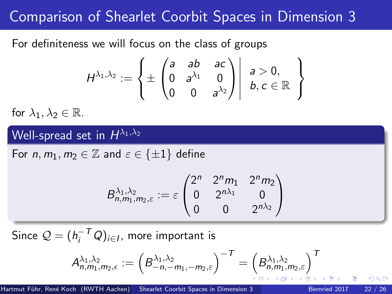For definiteness we will focus on the class of groups

$$
H^{\lambda_1,\lambda_2}:=\left\{\pm\begin{pmatrix}a & ab & ac\\0 & a^{\lambda_1} & 0\\0 & 0 & a^{\lambda_2}\end{pmatrix}\middle|\begin{array}{c}a>0,\\b,c\in\mathbb{R}\end{array}\right\}
$$

for  $\lambda_1, \lambda_2 \in \mathbb{R}$ .

# Well-spread set in  $H^{\lambda_1,\lambda_2}$

For  $n, m_1, m_2 \in \mathbb{Z}$  and  $\varepsilon \in {\pm 1}$  define

$$
B_{n,m_1,m_2,\varepsilon}^{\lambda_1,\lambda_2} := \varepsilon \begin{pmatrix} 2^n & 2^n m_1 & 2^n m_2 \\ 0 & 2^{n\lambda_1} & 0 \\ 0 & 0 & 2^{n\lambda_2} \end{pmatrix}
$$

Since  $\mathcal{Q} = (h_i^{-\mathcal{T}} Q)_{i \in I}$ , more important is

$$
A_{n,m_1,m_2,\epsilon}^{\lambda_1,\lambda_2}:=\left(B_{-n,-m_1,-m_2,\varepsilon}^{\lambda_1,\lambda_2}\right)^{-\mathcal{T}}=\left(B_{n,m_1,m_2,\varepsilon}^{\lambda_1,\lambda_2}\right)^{\mathcal{T}}
$$

つひひ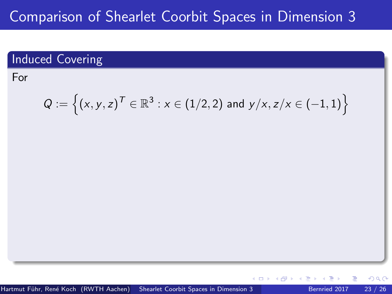# Induced Covering

For

$$
Q:=\Big\{(x,y,z)^{\mathcal{T}}\in\mathbb{R}^3: x\in (1/2,2) \text{ and } y/x, z/x\in (-1,1)\Big\}
$$

 $\leftarrow$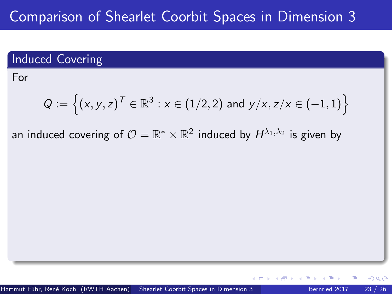## Induced Covering

For

$$
Q:=\Big\{(x,y,z)^{\mathcal{T}}\in\mathbb{R}^3: x\in (1/2,2) \text{ and } y/x, z/x\in (-1,1)\Big\}
$$

an induced covering of  $\mathcal{O}=\mathbb{R}^*\times\mathbb{R}^2$  induced by  $H^{\lambda_1,\lambda_2}$  is given by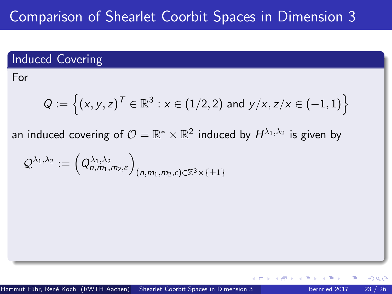## Induced Covering

For

$$
Q:=\Big\{(x,y,z)^{\mathcal{T}}\in\mathbb{R}^3: x\in (1/2,2) \text{ and } y/x, z/x\in (-1,1)\Big\}
$$

an induced covering of  $\mathcal{O}=\mathbb{R}^*\times\mathbb{R}^2$  induced by  $H^{\lambda_1,\lambda_2}$  is given by

$$
\mathcal{Q}^{\lambda_1,\lambda_2}:=\left(Q_{n,m_1,m_2,\varepsilon}^{\lambda_1,\lambda_2}\right)_{(n,m_1,m_2,\varepsilon)\in\mathbb{Z}^3\times\{\pm 1\}}
$$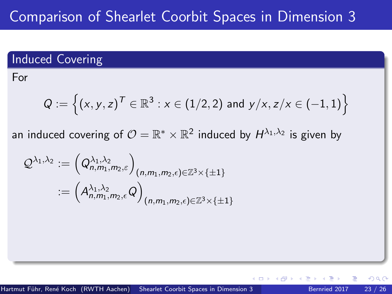## Induced Covering

For

$$
Q:=\Big\{(x,y,z)^{\mathcal{T}}\in\mathbb{R}^3: x\in (1/2,2) \text{ and } y/x, z/x\in (-1,1)\Big\}
$$

an induced covering of  $\mathcal{O}=\mathbb{R}^*\times\mathbb{R}^2$  induced by  $H^{\lambda_1,\lambda_2}$  is given by

$$
\mathcal{Q}^{\lambda_1,\lambda_2} := \left(Q^{\lambda_1,\lambda_2}_{n,m_1,m_2,\varepsilon}\right)_{(n,m_1,m_2,\varepsilon)\in\mathbb{Z}^3\times\{\pm 1\}}\\:= \left(A^{\lambda_1,\lambda_2}_{n,m_1,m_2,\varepsilon}Q\right)_{(n,m_1,m_2,\varepsilon)\in\mathbb{Z}^3\times\{\pm 1\}}
$$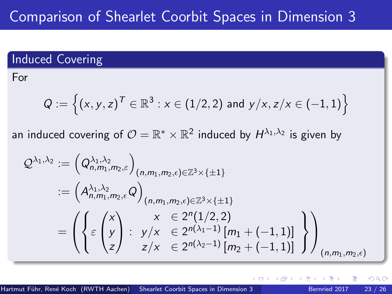## <span id="page-72-0"></span>Induced Covering

For

$$
Q:=\Big\{(x,y,z)^{\mathcal{T}}\in\mathbb{R}^3: x\in (1/2,2) \text{ and } y/x, z/x\in (-1,1)\Big\}
$$

an induced covering of  $\mathcal{O}=\mathbb{R}^*\times\mathbb{R}^2$  induced by  $H^{\lambda_1,\lambda_2}$  is given by

$$
\mathcal{Q}^{\lambda_1,\lambda_2} := (\mathcal{Q}_{n,m_1,m_2,\varepsilon}^{\lambda_1,\lambda_2})_{(n,m_1,m_2,\varepsilon)\in\mathbb{Z}^3\times\{\pm 1\}}
$$
  
\n
$$
:= (\mathcal{A}_{n,m_1,m_2,\varepsilon}^{\lambda_1,\lambda_2}\mathcal{Q})_{(n,m_1,m_2,\varepsilon)\in\mathbb{Z}^3\times\{\pm 1\}}
$$
  
\n
$$
= (\left\{\varepsilon\begin{pmatrix}x\\y\\z\end{pmatrix}: y/x \in 2^{n(\lambda_1-1)}[m_1+(-1,1)]\\ z/x \in 2^{n(\lambda_2-1)}[m_2+(-1,1)]\end{pmatrix}\right)_{(n,m_1,m_2,\varepsilon)}
$$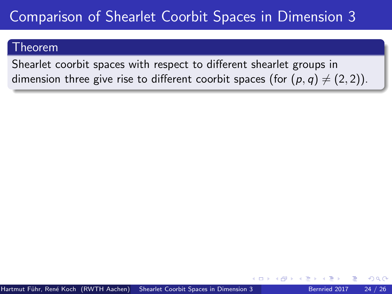#### <span id="page-73-0"></span>Theorem

Shearlet coorbit spaces with respect to different shearlet groups in dimension three give rise to different coorbit spaces (for  $(p, q) \neq (2, 2)$ ).

つひひ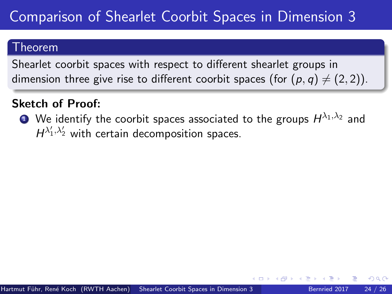#### Theorem

Shearlet coorbit spaces with respect to different shearlet groups in dimension three give rise to different coorbit spaces (for  $(p, q) \neq (2, 2)$ ).

## Sketch of Proof:

 $\bullet$  We identify the coorbit spaces associated to the groups  $H^{\lambda_1,\lambda_2}$  and  $H^{\lambda'_1,\lambda'_2}$  with certain decomposition spaces.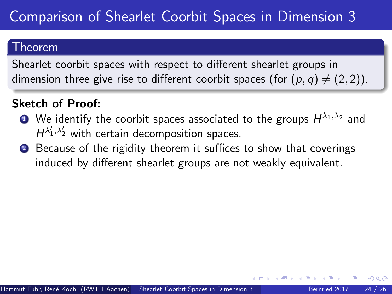#### Theorem

Shearlet coorbit spaces with respect to different shearlet groups in dimension three give rise to different coorbit spaces (for  $(p, q) \neq (2, 2)$ ).

### Sketch of Proof:

- $\bullet$  We identify the coorbit spaces associated to the groups  $H^{\lambda_1,\lambda_2}$  and  $H^{\lambda'_1,\lambda'_2}$  with certain decomposition spaces.
- 2 Because of the rigidity theorem it suffices to show that coverings induced by different shearlet groups are not weakly equivalent.

つひひ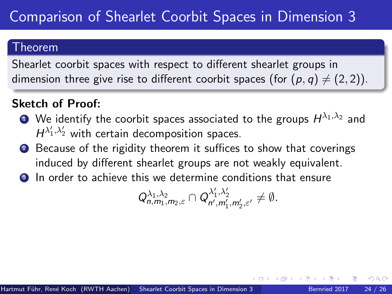#### Theorem

Shearlet coorbit spaces with respect to different shearlet groups in dimension three give rise to different coorbit spaces (for  $(p, q) \neq (2, 2)$ ).

### Sketch of Proof:

- $\bullet$  We identify the coorbit spaces associated to the groups  $H^{\lambda_1,\lambda_2}$  and  $H^{\lambda'_1,\lambda'_2}$  with certain decomposition spaces.
- 2 Because of the rigidity theorem it suffices to show that coverings induced by different shearlet groups are not weakly equivalent.
- In order to achieve this we determine conditions that ensure

$$
Q_{n,m_1,m_2,\varepsilon}^{\lambda_1,\lambda_2} \cap Q_{n',m_1',m_2',\varepsilon'}^{\lambda_1',\lambda_2'} \neq \emptyset.
$$

つひひ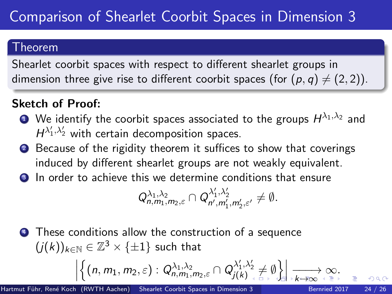#### <span id="page-77-0"></span>Theorem

Shearlet coorbit spaces with respect to different shearlet groups in dimension three give rise to different coorbit spaces (for  $(p, q) \neq (2, 2)$ ).

## Sketch of Proof:

- $\bullet$  We identify the coorbit spaces associated to the groups  $H^{\lambda_1,\lambda_2}$  and  $H^{\lambda'_1,\lambda'_2}$  with certain decomposition spaces.
- 2 Because of the rigidity theorem it suffices to show that coverings induced by different shearlet groups are not weakly equivalent.
- **3** In order to achieve this we determine conditions that ensure

$$
Q_{n,m_1,m_2,\varepsilon}^{\lambda_1,\lambda_2} \cap Q_{n',m_1',m_2',\varepsilon'}^{\lambda_1',\lambda_2'} \neq \emptyset.
$$

**4** These conditions allow the construction of a sequence  $(j(k))_{k \in \mathbb{N}} \in \mathbb{Z}^3 \times \{ \pm 1 \}$  such that  $\begin{array}{c} \n\end{array}$  $\left\{(n, m_1, m_2, \varepsilon): Q_{n,m_1,m_2,\varepsilon}^{\lambda_1,\lambda_2} \cap Q_{j(k)}^{\lambda'_1,\lambda'_2} \neq \emptyset \right\}$ −−−[→](#page-58-0) [k](#page-78-0)[→](#page-59-0)[∞](#page-80-0) [∞](#page-59-0)[.](#page-80-0)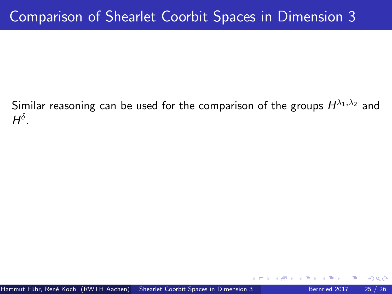<span id="page-78-0"></span>Similar reasoning can be used for the comparison of the groups  $H^{\lambda_1,\lambda_2}$  and  $H^{\delta}$ .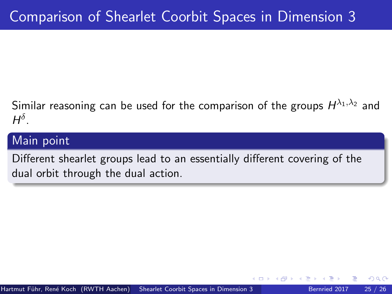Similar reasoning can be used for the comparison of the groups  $H^{\lambda_1,\lambda_2}$  and  $H^{\delta}$ .

### Main point

Different shearlet groups lead to an essentially different covering of the dual orbit through the dual action.